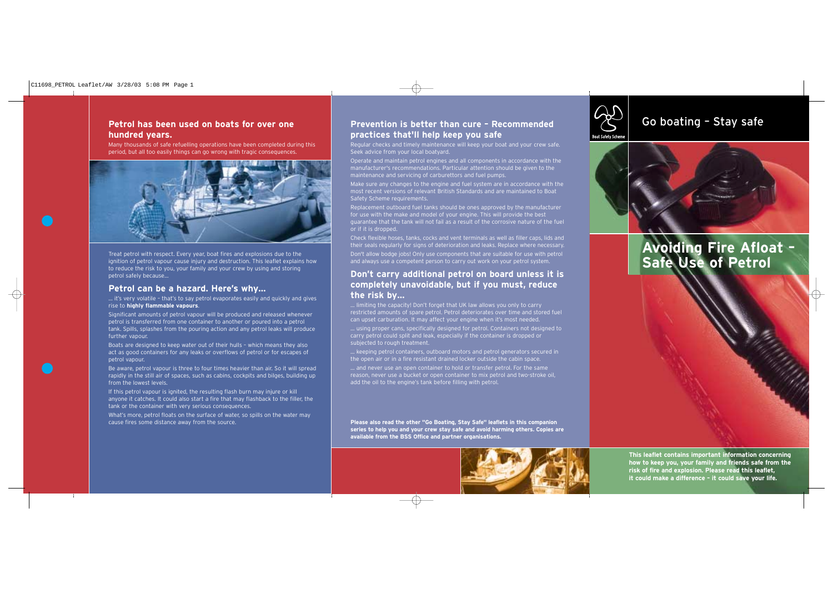### **Petrol has been used on boats for over one hundred years.**

Many thousands of safe refuelling operations have been completed during this period, but all too easily things can go wrong with tragic consequences.



Treat petrol with respect. Every year, boat fires and explosions due to the ignition of petrol vapour cause injury and destruction. This leaflet explains how to reduce the risk to you, your family and your crew by using and storing petrol safely because…

#### **Petrol can be a hazard. Here's why…**

… it's very volatile – that's to say petrol evaporates easily and quickly and gives rise to **highly flammable vapours**.

Significant amounts of petrol vapour will be produced and released whenever petrol is transferred from one container to another or poured into a petrol tank. Spills, splashes from the pouring action and any petrol leaks will produce further vapour.

Boats are designed to keep water out of their hulls - which means they also act as good containers for any leaks or overflows of petrol or for escapes of petrol vapour.

Be aware, petrol vapour is three to four times heavier than air. So it will spread rapidly in the still air of spaces, such as cabins, cockpits and bilges, building up from the lowest levels.

If this petrol vapour is ignited, the resulting flash burn may injure or kill anyone it catches. It could also start a fire that may flashback to the filler, the tank or the container with very serious consequences.

What's more, petrol floats on the surface of water, so spills on the water may cause fires some distance away from the source.

# **Prevention is better than cure – Recommended** Go boating – Stay safe **practices that'll help keep you safe**

Regular checks and timely maintenance will keep your boat and your crew safe. Seek advice from your local boatyard.

Operate and maintain petrol engines and all components in accordance with the manufacturer's recommendations. Particular attention should be given to the maintenance and servicing of carburettors and fuel pumps.

Make sure any changes to the engine and fuel system are in accordance with the most recent versions of relevant British Standards and are maintained to Boat Safety Scheme requirements.

Replacement outboard fuel tanks should be ones approved by the manufacturer for use with the make and model of your engine. This will provide the best guarantee that the tank will not fail as a result of the corrosive nature of the fuel or if it is dropped.

Check flexible hoses, tanks, cocks and vent terminals as well as filler caps, lids and their seals regularly for signs of deterioration and leaks. Replace where necessary. Don't allow bodge jobs! Only use components that are suitable for use with petrol and always use a competent person to carry out work on your petrol system.

#### **Don't carry additional petrol on board unless it is completely unavoidable, but if you must, reduce the risk by…**

… limiting the capacity! Don't forget that UK law allows you only to carry restricted amounts of spare petrol. Petrol deteriorates over time and stored fuel can upset carburation. It may affect your engine when it's most needed.

… using proper cans, specifically designed for petrol. Containers not designed to carry petrol could split and leak, especially if the container is dropped or subjected to rough treatment.

… keeping petrol containers, outboard motors and petrol generators secured in the open air or in a fire resistant drained locker outside the cabin space.

… and never use an open container to hold or transfer petrol. For the same reason, never use a bucket or open container to mix petrol and two-stroke oil, add the oil to the engine's tank before filling with petrol.

**Please also read the other "Go Boating, Stay Safe" leaflets in this companion series to help you and your crew stay safe and avoid harming others. Copies are available from the BSS Office and partner organisations.**







# **Avoiding Fire Afloat – Safe Use of Petrol**